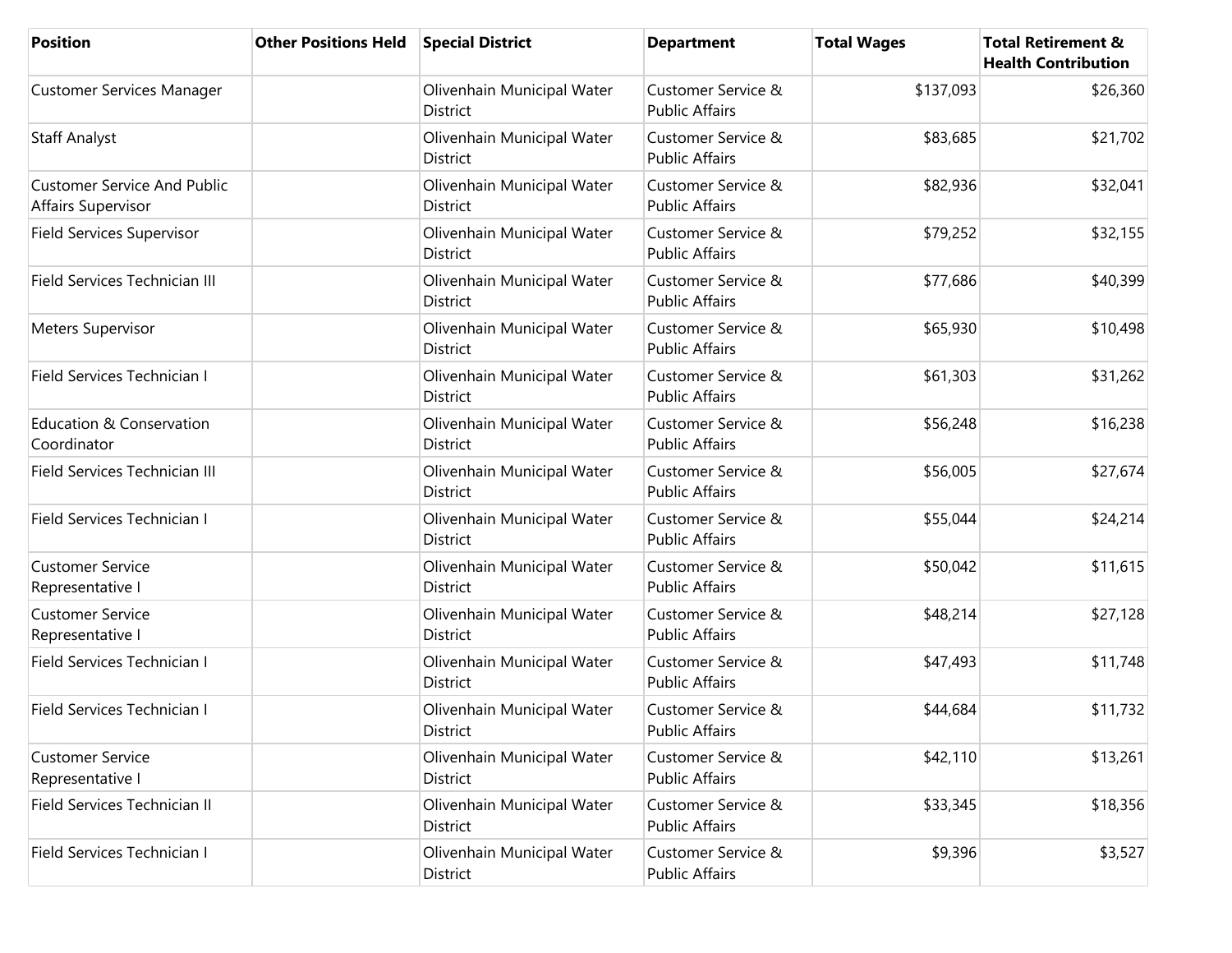| <b>Position</b>                                          | <b>Other Positions Held</b> | <b>Special District</b>                       | <b>Department</b>                           | <b>Total Wages</b> | <b>Total Retirement &amp;</b><br><b>Health Contribution</b> |
|----------------------------------------------------------|-----------------------------|-----------------------------------------------|---------------------------------------------|--------------------|-------------------------------------------------------------|
| Customer Services Manager                                |                             | Olivenhain Municipal Water<br><b>District</b> | Customer Service &<br><b>Public Affairs</b> | \$137,093          | \$26,360                                                    |
| <b>Staff Analyst</b>                                     |                             | Olivenhain Municipal Water<br>District        | Customer Service &<br><b>Public Affairs</b> | \$83,685           | \$21,702                                                    |
| <b>Customer Service And Public</b><br>Affairs Supervisor |                             | Olivenhain Municipal Water<br><b>District</b> | Customer Service &<br><b>Public Affairs</b> | \$82,936           | \$32,041                                                    |
| Field Services Supervisor                                |                             | Olivenhain Municipal Water<br><b>District</b> | Customer Service &<br><b>Public Affairs</b> | \$79,252           | \$32,155                                                    |
| Field Services Technician III                            |                             | Olivenhain Municipal Water<br>District        | Customer Service &<br><b>Public Affairs</b> | \$77,686           | \$40,399                                                    |
| <b>Meters Supervisor</b>                                 |                             | Olivenhain Municipal Water<br><b>District</b> | Customer Service &<br><b>Public Affairs</b> | \$65,930           | \$10,498                                                    |
| Field Services Technician I                              |                             | Olivenhain Municipal Water<br>District        | Customer Service &<br><b>Public Affairs</b> | \$61,303           | \$31,262                                                    |
| Education & Conservation<br>Coordinator                  |                             | Olivenhain Municipal Water<br><b>District</b> | Customer Service &<br><b>Public Affairs</b> | \$56,248           | \$16,238                                                    |
| Field Services Technician III                            |                             | Olivenhain Municipal Water<br>District        | Customer Service &<br><b>Public Affairs</b> | \$56,005           | \$27,674                                                    |
| Field Services Technician I                              |                             | Olivenhain Municipal Water<br><b>District</b> | Customer Service &<br><b>Public Affairs</b> | \$55,044           | \$24,214                                                    |
| <b>Customer Service</b><br>Representative I              |                             | Olivenhain Municipal Water<br>District        | Customer Service &<br><b>Public Affairs</b> | \$50,042           | \$11,615                                                    |
| <b>Customer Service</b><br>Representative I              |                             | Olivenhain Municipal Water<br><b>District</b> | Customer Service &<br><b>Public Affairs</b> | \$48,214           | \$27,128                                                    |
| Field Services Technician I                              |                             | Olivenhain Municipal Water<br><b>District</b> | Customer Service &<br><b>Public Affairs</b> | \$47,493           | \$11,748                                                    |
| Field Services Technician I                              |                             | Olivenhain Municipal Water<br><b>District</b> | Customer Service &<br><b>Public Affairs</b> | \$44,684           | \$11,732                                                    |
| <b>Customer Service</b><br>Representative I              |                             | Olivenhain Municipal Water<br>District        | Customer Service &<br><b>Public Affairs</b> | \$42,110           | \$13,261                                                    |
| Field Services Technician II                             |                             | Olivenhain Municipal Water<br>District        | Customer Service &<br><b>Public Affairs</b> | \$33,345           | \$18,356                                                    |
| Field Services Technician I                              |                             | Olivenhain Municipal Water<br>District        | Customer Service &<br><b>Public Affairs</b> | \$9,396            | \$3,527                                                     |